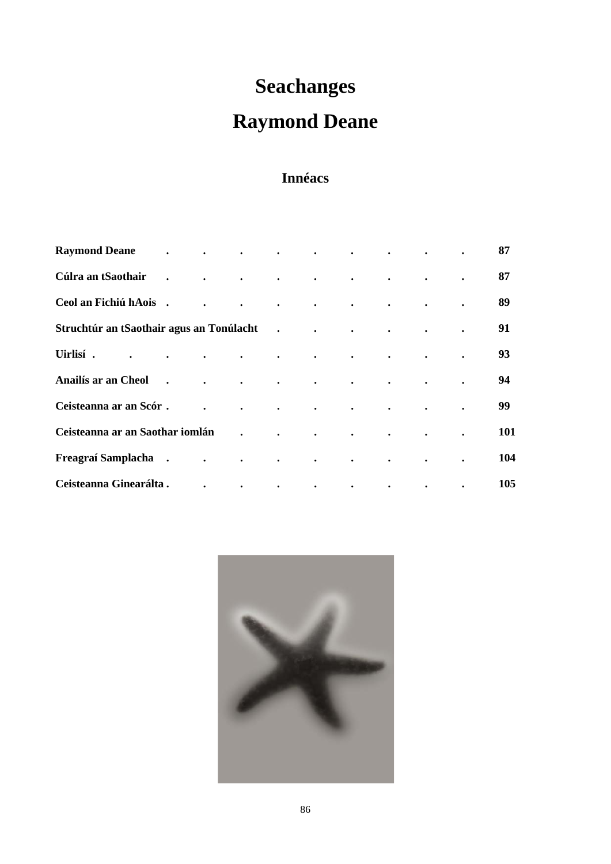# **Seachanges**

# **Raymond Deane**

# **Innéacs**

| <b>Raymond Deane</b>                     | $\ddot{\phantom{0}}$ | $\bullet$ | $\bullet$            |                      | $\bullet$ |           |           |           |           | 87  |
|------------------------------------------|----------------------|-----------|----------------------|----------------------|-----------|-----------|-----------|-----------|-----------|-----|
| Cúlra an tSaothair                       | $\bullet$            | $\bullet$ | $\bullet$            | $\bullet$            | $\bullet$ | $\bullet$ | $\bullet$ | $\bullet$ | $\bullet$ | 87  |
| Ceol an Fichiú hAois.                    |                      |           | $\bullet$            | $\bullet$            | $\bullet$ | $\bullet$ | $\bullet$ | $\bullet$ | $\bullet$ | 89  |
| Struchtúr an tSaothair agus an Tonúlacht |                      |           |                      | $\ddot{\phantom{0}}$ | $\bullet$ | $\bullet$ | $\bullet$ | $\bullet$ | $\bullet$ | 91  |
| Uirlisí.                                 | $\bullet$            | $\bullet$ | $\bullet$            | $\bullet$            | $\bullet$ | $\bullet$ | $\bullet$ | $\bullet$ |           | 93  |
| <b>Anailís ar an Cheol</b>               | $\ddot{\phantom{0}}$ | $\bullet$ | $\ddot{\phantom{a}}$ | $\bullet$            | $\bullet$ | $\bullet$ | $\bullet$ | $\bullet$ | $\bullet$ | 94  |
| Ceisteanna ar an Scór.                   |                      |           | $\ddot{\phantom{a}}$ | $\bullet$            | $\bullet$ | $\bullet$ | $\bullet$ | $\bullet$ | $\bullet$ | 99  |
| Ceisteanna ar an Saothar iomlán          |                      |           |                      |                      |           | $\bullet$ | $\bullet$ | $\bullet$ | $\bullet$ | 101 |
| Freagraí Samplacha.                      |                      |           | $\bullet$            | $\bullet$            | $\bullet$ | $\bullet$ |           |           | $\bullet$ | 104 |
| Ceisteanna Ginearálta.                   |                      |           | $\bullet$            | $\bullet$            | $\bullet$ | $\bullet$ | $\bullet$ | $\bullet$ | $\bullet$ | 105 |

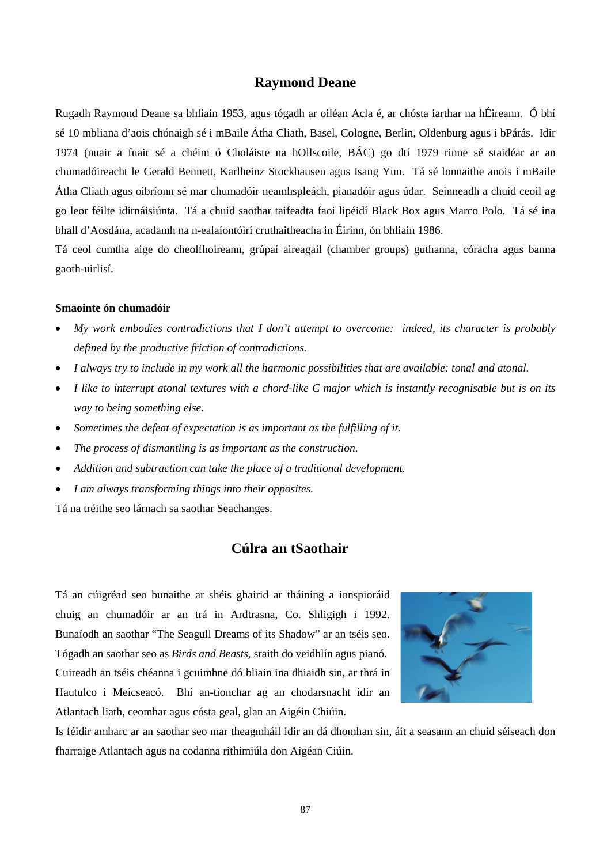# **Raymond Deane**

Rugadh Raymond Deane sa bhliain 1953, agus tógadh ar oiléan Acla é, ar chósta iarthar na hÉireann. Ó bhí sé 10 mbliana d'aois chónaigh sé i mBaile Átha Cliath, Basel, Cologne, Berlin, Oldenburg agus i bPárás. Idir 1974 (nuair a fuair sé a chéim ó Choláiste na hOllscoile, BÁC) go dtí 1979 rinne sé staidéar ar an chumadóireacht le Gerald Bennett, Karlheinz Stockhausen agus Isang Yun. Tá sé lonnaithe anois i mBaile Átha Cliath agus oibríonn sé mar chumadóir neamhspleách, pianadóir agus údar. Seinneadh a chuid ceoil ag go leor féilte idirnáisiúnta. Tá a chuid saothar taifeadta faoi lipéidí Black Box agus Marco Polo. Tá sé ina bhall d'Aosdána, acadamh na n-ealaíontóirí cruthaitheacha in Éirinn, ón bhliain 1986.

Tá ceol cumtha aige do cheolfhoireann, grúpaí aireagail (chamber groups) guthanna, córacha agus banna gaoth-uirlisí.

## **Smaointe ón chumadóir**

- *My work embodies contradictions that I don't attempt to overcome: indeed, its character is probably defined by the productive friction of contradictions.*
- *I always try to include in my work all the harmonic possibilities that are available: tonal and atonal.*
- *I like to interrupt atonal textures with a chord-like C major which is instantly recognisable but is on its way to being something else.*
- *Sometimes the defeat of expectation is as important as the fulfilling of it.*
- *The process of dismantling is as important as the construction.*
- *Addition and subtraction can take the place of a traditional development.*
- *I am always transforming things into their opposites.*

Tá na tréithe seo lárnach sa saothar Seachanges.

# **Cúlra an tSaothair**

Tá an cúigréad seo bunaithe ar shéis ghairid ar tháining a ionspioráid chuig an chumadóir ar an trá in Ardtrasna, Co. Shligigh i 1992. Bunaíodh an saothar "The Seagull Dreams of its Shadow" ar an tséis seo. Tógadh an saothar seo as *Birds and Beasts*, sraith do veidhlín agus pianó. Cuireadh an tséis chéanna i gcuimhne dó bliain ina dhiaidh sin, ar thrá in Hautulco i Meicseacó. Bhí an-tionchar ag an chodarsnacht idir an Atlantach liath, ceomhar agus cósta geal, glan an Aigéin Chiúin.



Is féidir amharc ar an saothar seo mar theagmháil idir an dá dhomhan sin, áit a seasann an chuid séiseach don fharraige Atlantach agus na codanna rithimiúla don Aigéan Ciúin.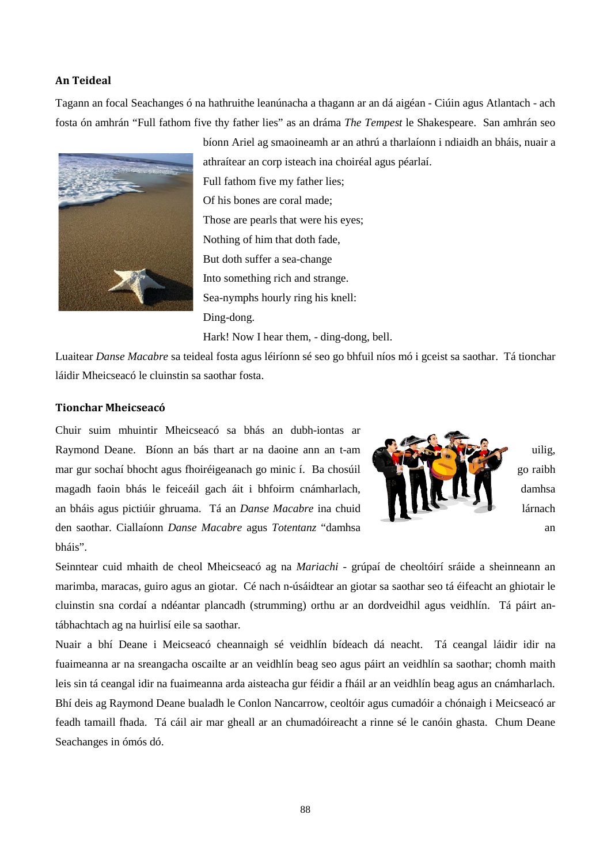#### **An Teideal**

Tagann an focal Seachanges ó na hathruithe leanúnacha a thagann ar an dá aigéan - Ciúin agus Atlantach - ach fosta ón amhrán "Full fathom five thy father lies" as an dráma *The Tempest* le Shakespeare. San amhrán seo



bíonn Ariel ag smaoineamh ar an athrú a tharlaíonn i ndiaidh an bháis, nuair a athraítear an corp isteach ina choiréal agus péarlaí. Full fathom five my father lies; Of his bones are coral made; Those are pearls that were his eyes; Nothing of him that doth fade, But doth suffer a sea-change Into something rich and strange. Sea-nymphs hourly ring his knell: Ding-dong. Hark! Now I hear them, - ding-dong, bell.

Luaitear *Danse Macabre* sa teideal fosta agus léiríonn sé seo go bhfuil níos mó i gceist sa saothar. Tá tionchar láidir Mheicseacó le cluinstin sa saothar fosta.

## **Tionchar Mheicseacó**

Chuir suim mhuintir Mheicseacó sa bhás an dubh-iontas ar Raymond Deane. Bíonn an bás thart ar na daoine ann an t-am  $\mathbb{R}$ mar gur sochaí bhocht agus fhoiréigeanach go minic í. Ba chosúil go raibh magadh faoin bhás le feiceáil gach áit i bhfoirm cnámharlach, **daoine an comharlach** damhsa an bháis agus pictiúir ghruama. Tá an *Danse Macabre* ina chuid lárnach den saothar. Ciallaíonn *Danse Macabre* agus *Totentanz* "damhsa an bháis".



Seinntear cuid mhaith de cheol Mheicseacó ag na *Mariachi -* grúpaí de cheoltóirí sráide a sheinneann an marimba, maracas, guiro agus an giotar. Cé nach n-úsáidtear an giotar sa saothar seo tá éifeacht an ghiotair le cluinstin sna cordaí a ndéantar plancadh (strumming) orthu ar an dordveidhil agus veidhlín. Tá páirt antábhachtach ag na huirlisí eile sa saothar.

Nuair a bhí Deane i Meicseacó cheannaigh sé veidhlín bídeach dá neacht. Tá ceangal láidir idir na fuaimeanna ar na sreangacha oscailte ar an veidhlín beag seo agus páirt an veidhlín sa saothar; chomh maith leis sin tá ceangal idir na fuaimeanna arda aisteacha gur féidir a fháil ar an veidhlín beag agus an cnámharlach. Bhí deis ag Raymond Deane bualadh le Conlon Nancarrow, ceoltóir agus cumadóir a chónaigh i Meicseacó ar feadh tamaill fhada. Tá cáil air mar gheall ar an chumadóireacht a rinne sé le canóin ghasta. Chum Deane Seachanges in ómós dó.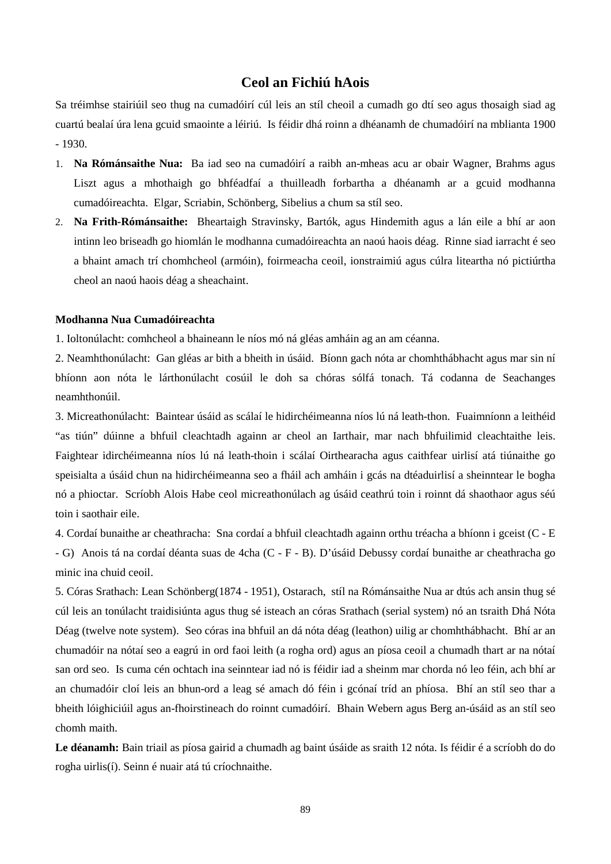# **Ceol an Fichiú hAois**

Sa tréimhse stairiúil seo thug na cumadóirí cúl leis an stíl cheoil a cumadh go dtí seo agus thosaigh siad ag cuartú bealaí úra lena gcuid smaointe a léiriú. Is féidir dhá roinn a dhéanamh de chumadóirí na mblianta 1900 - 1930.

- 1. **Na Rómánsaithe Nua:** Ba iad seo na cumadóirí a raibh an-mheas acu ar obair Wagner, Brahms agus Liszt agus a mhothaigh go bhféadfaí a thuilleadh forbartha a dhéanamh ar a gcuid modhanna cumadóireachta. Elgar, Scriabin, Schönberg, Sibelius a chum sa stíl seo.
- 2. **Na Frith-Rómánsaithe:** Bheartaigh Stravinsky, Bartók, agus Hindemith agus a lán eile a bhí ar aon intinn leo briseadh go hiomlán le modhanna cumadóireachta an naoú haois déag. Rinne siad iarracht é seo a bhaint amach trí chomhcheol (armóin), foirmeacha ceoil, ionstraimiú agus cúlra liteartha nó pictiúrtha cheol an naoú haois déag a sheachaint.

#### **Modhanna Nua Cumadóireachta**

1. Ioltonúlacht: comhcheol a bhaineann le níos mó ná gléas amháin ag an am céanna.

2. Neamhthonúlacht: Gan gléas ar bith a bheith in úsáid. Bíonn gach nóta ar chomhthábhacht agus mar sin ní bhíonn aon nóta le lárthonúlacht cosúil le doh sa chóras sólfá tonach. Tá codanna de Seachanges neamhthonúil.

3. Micreathonúlacht: Baintear úsáid as scálaí le hidirchéimeanna níos lú ná leath-thon. Fuaimníonn a leithéid "as tiún" dúinne a bhfuil cleachtadh againn ar cheol an Iarthair, mar nach bhfuilimid cleachtaithe leis. Faightear idirchéimeanna níos lú ná leath-thoin i scálaí Oirthearacha agus caithfear uirlisí atá tiúnaithe go speisialta a úsáid chun na hidirchéimeanna seo a fháil ach amháin i gcás na dtéaduirlisí a sheinntear le bogha nó a phioctar. Scríobh Alois Habe ceol micreathonúlach ag úsáid ceathrú toin i roinnt dá shaothaor agus séú toin i saothair eile.

4. Cordaí bunaithe ar cheathracha: Sna cordaí a bhfuil cleachtadh againn orthu tréacha a bhíonn i gceist (C - E - G) Anois tá na cordaí déanta suas de 4cha (C - F - B). D'úsáid Debussy cordaí bunaithe ar cheathracha go minic ina chuid ceoil.

5. Córas Srathach: Lean Schönberg(1874 - 1951), Ostarach, stíl na Rómánsaithe Nua ar dtús ach ansin thug sé cúl leis an tonúlacht traidisiúnta agus thug sé isteach an córas Srathach (serial system) nó an tsraith Dhá Nóta Déag (twelve note system). Seo córas ina bhfuil an dá nóta déag (leathon) uilig ar chomhthábhacht. Bhí ar an chumadóir na nótaí seo a eagrú in ord faoi leith (a rogha ord) agus an píosa ceoil a chumadh thart ar na nótaí san ord seo. Is cuma cén ochtach ina seinntear iad nó is féidir iad a sheinm mar chorda nó leo féin, ach bhí ar an chumadóir cloí leis an bhun-ord a leag sé amach dó féin i gcónaí tríd an phíosa. Bhí an stíl seo thar a bheith lóighiciúil agus an-fhoirstineach do roinnt cumadóirí. Bhain Webern agus Berg an-úsáid as an stíl seo chomh maith.

**Le déanamh:** Bain triail as píosa gairid a chumadh ag baint úsáide as sraith 12 nóta. Is féidir é a scríobh do do rogha uirlis(í). Seinn é nuair atá tú críochnaithe.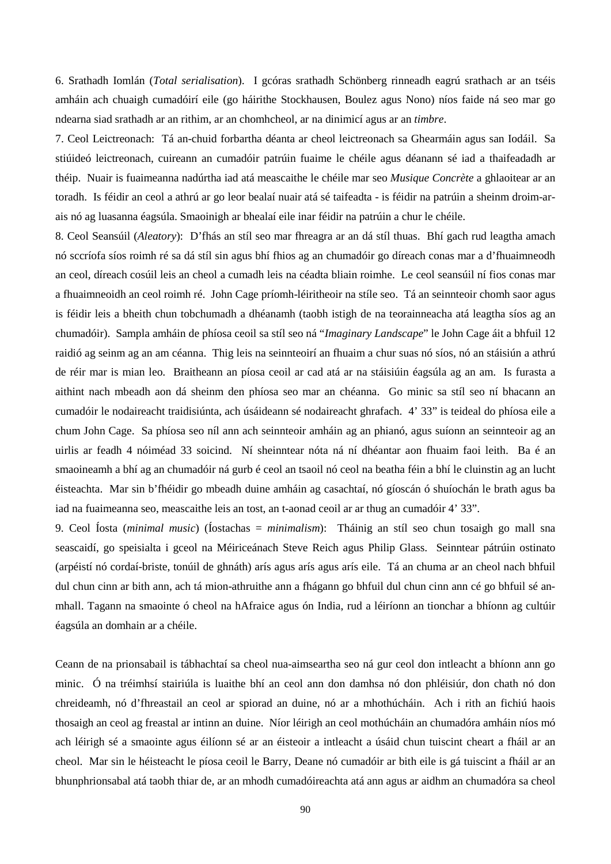6. Srathadh Iomlán (*Total serialisation*). I gcóras srathadh Schönberg rinneadh eagrú srathach ar an tséis amháin ach chuaigh cumadóirí eile (go háirithe Stockhausen, Boulez agus Nono) níos faide ná seo mar go ndearna siad srathadh ar an rithim, ar an chomhcheol, ar na dinimicí agus ar an *timbre*.

7. Ceol Leictreonach: Tá an-chuid forbartha déanta ar cheol leictreonach sa Ghearmáin agus san Iodáil. Sa stiúideó leictreonach, cuireann an cumadóir patrúin fuaime le chéile agus déanann sé iad a thaifeadadh ar théip. Nuair is fuaimeanna nadúrtha iad atá meascaithe le chéile mar seo *Musique Concrète* a ghlaoitear ar an toradh. Is féidir an ceol a athrú ar go leor bealaí nuair atá sé taifeadta - is féidir na patrúin a sheinm droim-arais nó ag luasanna éagsúla. Smaoinigh ar bhealaí eile inar féidir na patrúin a chur le chéile.

8. Ceol Seansúil (*Aleatory*): D'fhás an stíl seo mar fhreagra ar an dá stíl thuas. Bhí gach rud leagtha amach nó sccríofa síos roimh ré sa dá stíl sin agus bhí fhios ag an chumadóir go díreach conas mar a d'fhuaimneodh an ceol, díreach cosúil leis an cheol a cumadh leis na céadta bliain roimhe. Le ceol seansúil ní fios conas mar a fhuaimneoidh an ceol roimh ré. John Cage príomh-léiritheoir na stíle seo. Tá an seinnteoir chomh saor agus is féidir leis a bheith chun tobchumadh a dhéanamh (taobh istigh de na teorainneacha atá leagtha síos ag an chumadóir). Sampla amháin de phíosa ceoil sa stíl seo ná "*Imaginary Landscape*" le John Cage áit a bhfuil 12 raidió ag seinm ag an am céanna. Thig leis na seinnteoirí an fhuaim a chur suas nó síos, nó an stáisiún a athrú de réir mar is mian leo. Braitheann an píosa ceoil ar cad atá ar na stáisiúin éagsúla ag an am. Is furasta a aithint nach mbeadh aon dá sheinm den phíosa seo mar an chéanna. Go minic sa stíl seo ní bhacann an cumadóir le nodaireacht traidisiúnta, ach úsáideann sé nodaireacht ghrafach. 4' 33" is teideal do phíosa eile a chum John Cage. Sa phíosa seo níl ann ach seinnteoir amháin ag an phianó, agus suíonn an seinnteoir ag an uirlis ar feadh 4 nóiméad 33 soicind. Ní sheinntear nóta ná ní dhéantar aon fhuaim faoi leith. Ba é an smaoineamh a bhí ag an chumadóir ná gurb é ceol an tsaoil nó ceol na beatha féin a bhí le cluinstin ag an lucht éisteachta. Mar sin b'fhéidir go mbeadh duine amháin ag casachtaí, nó gíoscán ó shuíochán le brath agus ba iad na fuaimeanna seo, meascaithe leis an tost, an t-aonad ceoil ar ar thug an cumadóir 4' 33".

9. Ceol Íosta (*minimal music*) (Íostachas = *minimalism*): Tháinig an stíl seo chun tosaigh go mall sna seascaidí, go speisialta i gceol na Méiriceánach Steve Reich agus Philip Glass. Seinntear pátrúin ostinato (arpéistí nó cordaí-briste, tonúil de ghnáth) arís agus arís agus arís eile. Tá an chuma ar an cheol nach bhfuil dul chun cinn ar bith ann, ach tá mion-athruithe ann a fhágann go bhfuil dul chun cinn ann cé go bhfuil sé anmhall. Tagann na smaointe ó cheol na hAfraice agus ón India, rud a léiríonn an tionchar a bhíonn ag cultúir éagsúla an domhain ar a chéile.

Ceann de na prionsabail is tábhachtaí sa cheol nua-aimseartha seo ná gur ceol don intleacht a bhíonn ann go minic. Ó na tréimhsí stairiúla is luaithe bhí an ceol ann don damhsa nó don phléisiúr, don chath nó don chreideamh, nó d'fhreastail an ceol ar spiorad an duine, nó ar a mhothúcháin. Ach i rith an fichiú haois thosaigh an ceol ag freastal ar intinn an duine. Níor léirigh an ceol mothúcháin an chumadóra amháin níos mó ach léirigh sé a smaointe agus éilíonn sé ar an éisteoir a intleacht a úsáid chun tuiscint cheart a fháil ar an cheol. Mar sin le héisteacht le píosa ceoil le Barry, Deane nó cumadóir ar bith eile is gá tuiscint a fháil ar an bhunphrionsabal atá taobh thiar de, ar an mhodh cumadóireachta atá ann agus ar aidhm an chumadóra sa cheol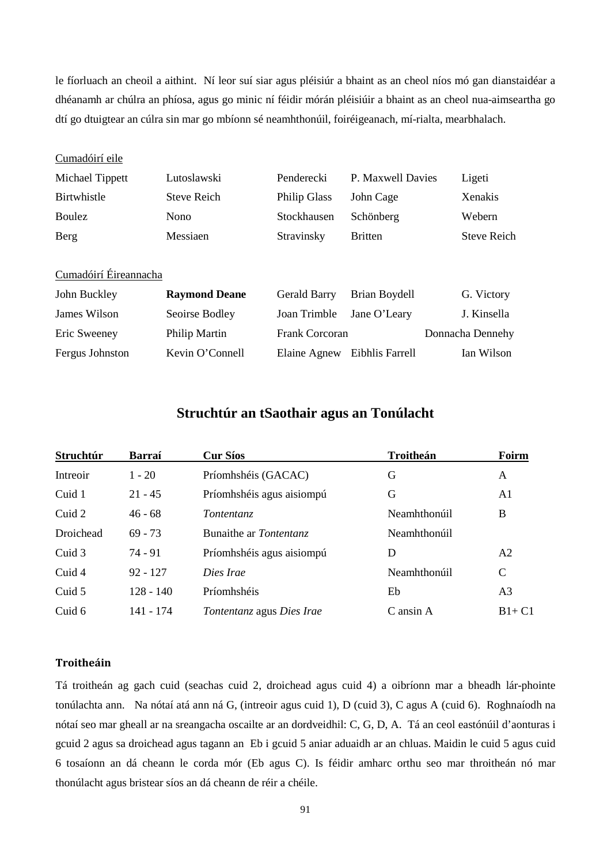le fíorluach an cheoil a aithint. Ní leor suí siar agus pléisiúr a bhaint as an cheol níos mó gan dianstaidéar a dhéanamh ar chúlra an phíosa, agus go minic ní féidir mórán pléisiúir a bhaint as an cheol nua-aimseartha go dtí go dtuigtear an cúlra sin mar go mbíonn sé neamhthonúil, foiréigeanach, mí-rialta, mearbhalach.

#### Cumadóirí eile

| Michael Tippett | Lutoslawski        | Penderecki          | P. Maxwell Davies | Ligeti             |
|-----------------|--------------------|---------------------|-------------------|--------------------|
| Birtwhistle     | <b>Steve Reich</b> | <b>Philip Glass</b> | John Cage         | <b>Xenakis</b>     |
| <b>Boulez</b>   | Nono               | Stockhausen         | Schönberg         | Webern             |
| Berg            | Messiaen           | Stravinsky          | <b>Britten</b>    | <b>Steve Reich</b> |

# Cumadóirí Éireannacha

| John Buckley    | <b>Raymond Deane</b> | Gerald Barry              | Brian Boydell   | G. Victory       |
|-----------------|----------------------|---------------------------|-----------------|------------------|
| James Wilson    | Seoirse Bodley       | Joan Trimble Jane O'Leary |                 | J. Kinsella      |
| Eric Sweeney    | Philip Martin        | Frank Corcoran            |                 | Donnacha Dennehy |
| Fergus Johnston | Kevin O'Connell      | Elaine Agnew              | Eibhlis Farrell | Ian Wilson       |

# **Struchtúr an tSaothair agus an Tonúlacht**

| Struchtúr | Barraí      | <b>Cur Síos</b>           | Troitheán    | Foirm          |
|-----------|-------------|---------------------------|--------------|----------------|
| Intreoir  | $1 - 20$    | Príomhshéis (GACAC)       | G            | A              |
| Cuid 1    | $21 - 45$   | Príomhshéis agus aisiompú | G            | A1             |
| Cuid 2    | $46 - 68$   | Tontentanz                | Neamhthonúil | B              |
| Droichead | $69 - 73$   | Bunaithe ar Tontentanz    | Neamhthonúil |                |
| Cuid 3    | $74 - 91$   | Príomhshéis agus aisiompú | D            | A <sub>2</sub> |
| Cuid 4    | $92 - 127$  | Dies Irae                 | Neamhthonúil | $\mathsf{C}$   |
| Cuid 5    | $128 - 140$ | Príomhshéis               | Eb           | A <sub>3</sub> |
| Cuid 6    | 141 - 174   | Tontentanz agus Dies Irae | C ansin A    | $B1+C1$        |

## **Troitheáin**

Tá troitheán ag gach cuid (seachas cuid 2, droichead agus cuid 4) a oibríonn mar a bheadh lár-phointe tonúlachta ann. Na nótaí atá ann ná G, (intreoir agus cuid 1), D (cuid 3), C agus A (cuid 6). Roghnaíodh na nótaí seo mar gheall ar na sreangacha oscailte ar an dordveidhil: C, G, D, A. Tá an ceol eastónúil d'aonturas i gcuid 2 agus sa droichead agus tagann an Eb i gcuid 5 aniar aduaidh ar an chluas. Maidin le cuid 5 agus cuid 6 tosaíonn an dá cheann le corda mór (Eb agus C). Is féidir amharc orthu seo mar throitheán nó mar thonúlacht agus bristear síos an dá cheann de réir a chéile.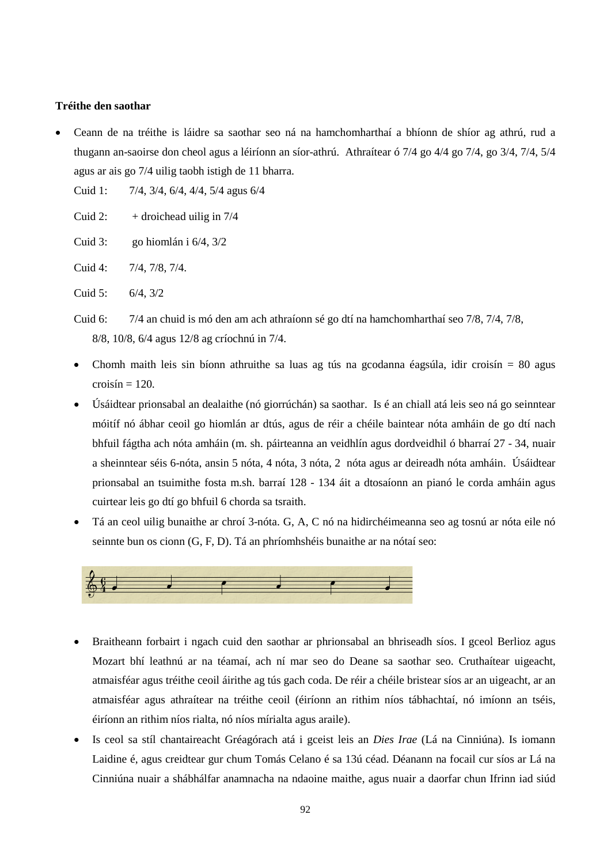## **Tréithe den saothar**

• Ceann de na tréithe is láidre sa saothar seo ná na hamchomharthaí a bhíonn de shíor ag athrú, rud a thugann an-saoirse don cheol agus a léiríonn an síor-athrú. Athraítear ó 7/4 go 4/4 go 7/4, go 3/4, 7/4, 5/4 agus ar ais go 7/4 uilig taobh istigh de 11 bharra.

Cuid 1: 7/4, 3/4, 6/4, 4/4, 5/4 agus 6/4

Cuid 2:  $+$  droichead uilig in 7/4

Cuid 3: go hiomlán i 6/4, 3/2

Cuid 4: 7/4, 7/8, 7/4.

Cuid 5: 6/4, 3/2

- Cuid 6: 7/4 an chuid is mó den am ach athraíonn sé go dtí na hamchomharthaí seo 7/8, 7/4, 7/8, 8/8, 10/8, 6/4 agus 12/8 ag críochnú in 7/4.
- Chomh maith leis sin bíonn athruithe sa luas ag tús na gcodanna éagsúla, idir croisín = 80 agus  $crosín = 120$ .
- Úsáidtear prionsabal an dealaithe (nó giorrúchán) sa saothar. Is é an chiall atá leis seo ná go seinntear móitíf nó ábhar ceoil go hiomlán ar dtús, agus de réir a chéile baintear nóta amháin de go dtí nach bhfuil fágtha ach nóta amháin (m. sh. páirteanna an veidhlín agus dordveidhil ó bharraí 27 - 34, nuair a sheinntear séis 6-nóta, ansin 5 nóta, 4 nóta, 3 nóta, 2 nóta agus ar deireadh nóta amháin. Úsáidtear prionsabal an tsuimithe fosta m.sh. barraí 128 - 134 áit a dtosaíonn an pianó le corda amháin agus cuirtear leis go dtí go bhfuil 6 chorda sa tsraith.
- Tá an ceol uilig bunaithe ar chroí 3-nóta. G, A, C nó na hidirchéimeanna seo ag tosnú ar nóta eile nó seinnte bun os cionn (G, F, D). Tá an phríomhshéis bunaithe ar na nótaí seo:



- Braitheann forbairt i ngach cuid den saothar ar phrionsabal an bhriseadh síos. I gceol Berlioz agus Mozart bhí leathnú ar na téamaí, ach ní mar seo do Deane sa saothar seo. Cruthaítear uigeacht, atmaisféar agus tréithe ceoil áirithe ag tús gach coda. De réir a chéile bristear síos ar an uigeacht, ar an atmaisféar agus athraítear na tréithe ceoil (éiríonn an rithim níos tábhachtaí, nó imíonn an tséis, éiríonn an rithim níos rialta, nó níos mírialta agus araile).
- Is ceol sa stíl chantaireacht Gréagórach atá i gceist leis an *Dies Irae* (Lá na Cinniúna). Is iomann Laidine é, agus creidtear gur chum Tomás Celano é sa 13ú céad. Déanann na focail cur síos ar Lá na Cinniúna nuair a shábhálfar anamnacha na ndaoine maithe, agus nuair a daorfar chun Ifrinn iad siúd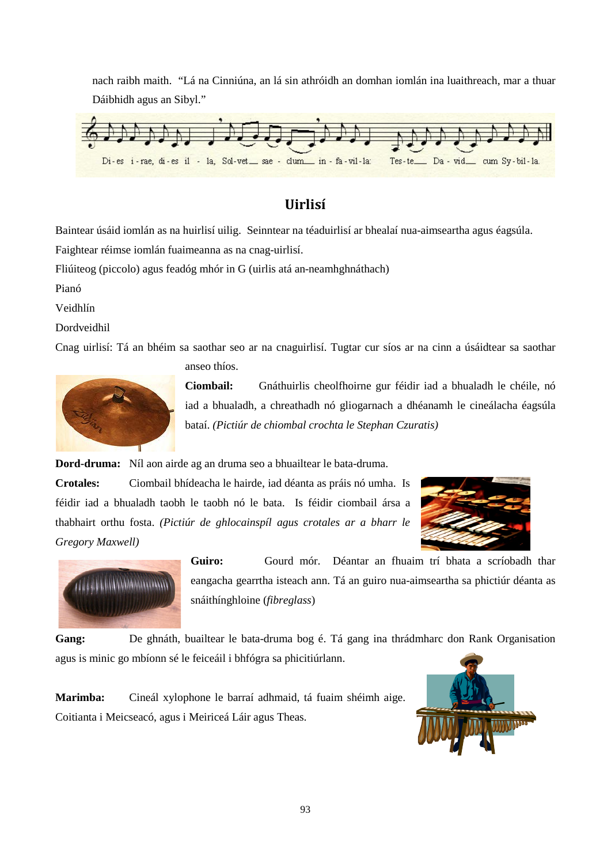nach raibh maith. "Lá na Cinniúna, an lá sin athróidh an domhan iomlán ina luaithreach, mar a thuar Dáibhidh agus an Sibyl."



# **Uirlisí**

Baintear úsáid iomlán as na huirlisí uilig. Seinntear na téaduirlisí ar bhealaí nua-aimseartha agus éagsúla.

Faightear réimse iomlán fuaimeanna as na cnag-uirlisí.

Fliúiteog (piccolo) agus feadóg mhór in G (uirlis atá an-neamhghnáthach)

Pianó

Veidhlín

Dordveidhil

Cnag uirlisí: Tá an bhéim sa saothar seo ar na cnaguirlisí. Tugtar cur síos ar na cinn a úsáidtear sa saothar



anseo thíos.

**Ciombail:** Gnáthuirlis cheolfhoirne gur féidir iad a bhualadh le chéile, nó iad a bhualadh, a chreathadh nó gliogarnach a dhéanamh le cineálacha éagsúla bataí. *(Pictiúr de chiombal crochta le Stephan Czuratis)*

**Dord-druma:** Níl aon airde ag an druma seo a bhuailtear le bata-druma.

**Crotales:** Ciombail bhídeacha le hairde, iad déanta as práis nó umha. Is féidir iad a bhualadh taobh le taobh nó le bata. Is féidir ciombail ársa a thabhairt orthu fosta. *(Pictiúr de ghlocainspíl agus crotales ar a bharr le Gregory Maxwell)*





**Guiro:** Gourd mór. Déantar an fhuaim trí bhata a scríobadh thar eangacha gearrtha isteach ann. Tá an guiro nua-aimseartha sa phictiúr déanta as snáithínghloine (*fibreglass*)

**Gang:** De ghnáth, buailtear le bata-druma bog é. Tá gang ina thrádmharc don Rank Organisation agus is minic go mbíonn sé le feiceáil i bhfógra sa phicitiúrlann.

**Marimba:** Cineál xylophone le barraí adhmaid, tá fuaim shéimh aige. Coitianta i Meicseacó, agus i Meiriceá Láir agus Theas.

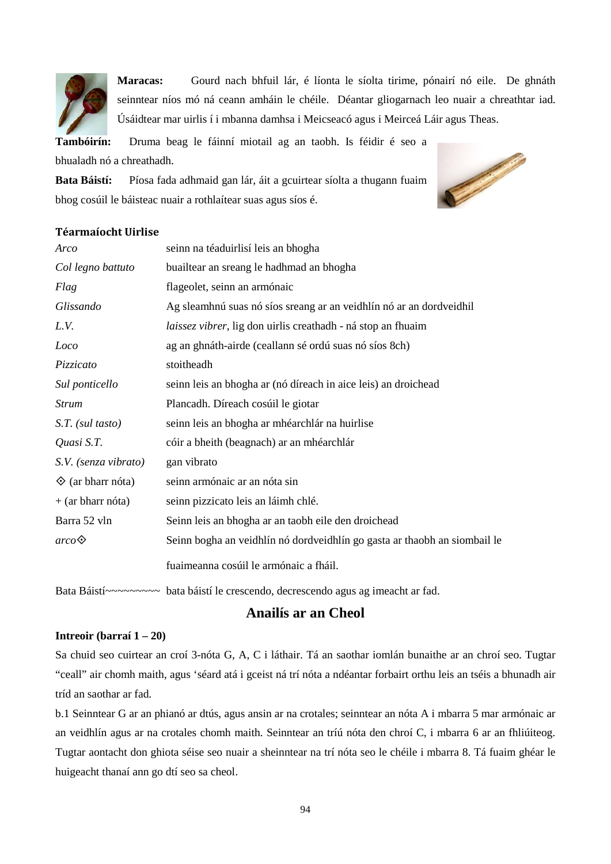

**Maracas:** Gourd nach bhfuil lár, é líonta le síolta tirime, pónairí nó eile. De ghnáth seinntear níos mó ná ceann amháin le chéile. Déantar gliogarnach leo nuair a chreathtar iad. Úsáidtear mar uirlis í i mbanna damhsa i Meicseacó agus i Meirceá Láir agus Theas.

**Tambóirín:** Druma beag le fáinní miotail ag an taobh. Is féidir é seo a

bhualadh nó a chreathadh.

**Bata Báistí:** Píosa fada adhmaid gan lár, áit a gcuirtear síolta a thugann fuaim bhog cosúil le báisteac nuair a rothlaítear suas agus síos é.



## **Téarmaíocht Uirlise**

| Arco                       | seinn na téaduirlisí leis an bhogha                                       |
|----------------------------|---------------------------------------------------------------------------|
| Col legno battuto          | buailtear an sreang le hadhmad an bhogha                                  |
| Flag                       | flageolet, seinn an armónaic                                              |
| Glissando                  | Ag sleamhnú suas nó síos sreang ar an veidhlín nó ar an dordveidhil       |
| L.V.                       | laissez vibrer, lig don uirlis creathadh - ná stop an fhuaim              |
| Loco                       | ag an ghnáth-airde (ceallann sé ordú suas nó síos 8ch)                    |
| Pizzicato                  | stoitheadh                                                                |
| Sul ponticello             | seinn leis an bhogha ar (nó díreach in aice leis) an droichead            |
| <b>Strum</b>               | Plancadh. Díreach cosúil le giotar                                        |
| S.T. (sul tasto)           | seinn leis an bhogha ar mhéarchlár na huirlise                            |
| Quasi S.T.                 | cóir a bheith (beagnach) ar an mhéarchlár                                 |
| S.V. (senza vibrato)       | gan vibrato                                                               |
| $\diamond$ (ar bharr nóta) | seinn armónaic ar an nóta sin                                             |
| $+$ (ar bharr nóta)        | seinn pizzicato leis an láimh chlé.                                       |
| Barra 52 vln               | Seinn leis an bhogha ar an taobh eile den droichead                       |
| $\textit{arco}$            | Seinn bogha an veidhlín nó dordveidhlín go gasta ar thaobh an siombail le |
|                            | fuaimeanna cosúil le armónaic a fháil.                                    |

Bata Báistí~~~~~~~~~ bata báistí le crescendo, decrescendo agus ag imeacht ar fad.

# **Anailís ar an Cheol**

## **Intreoir (barraí 1 – 20)**

Sa chuid seo cuirtear an croí 3-nóta G, A, C i láthair. Tá an saothar iomlán bunaithe ar an chroí seo. Tugtar "ceall" air chomh maith, agus 'séard atá i gceist ná trí nóta a ndéantar forbairt orthu leis an tséis a bhunadh air tríd an saothar ar fad.

b.1 Seinntear G ar an phianó ar dtús, agus ansin ar na crotales; seinntear an nóta A i mbarra 5 mar armónaic ar an veidhlín agus ar na crotales chomh maith. Seinntear an tríú nóta den chroí C, i mbarra 6 ar an fhliúiteog. Tugtar aontacht don ghiota séise seo nuair a sheinntear na trí nóta seo le chéile i mbarra 8. Tá fuaim ghéar le huigeacht thanaí ann go dtí seo sa cheol.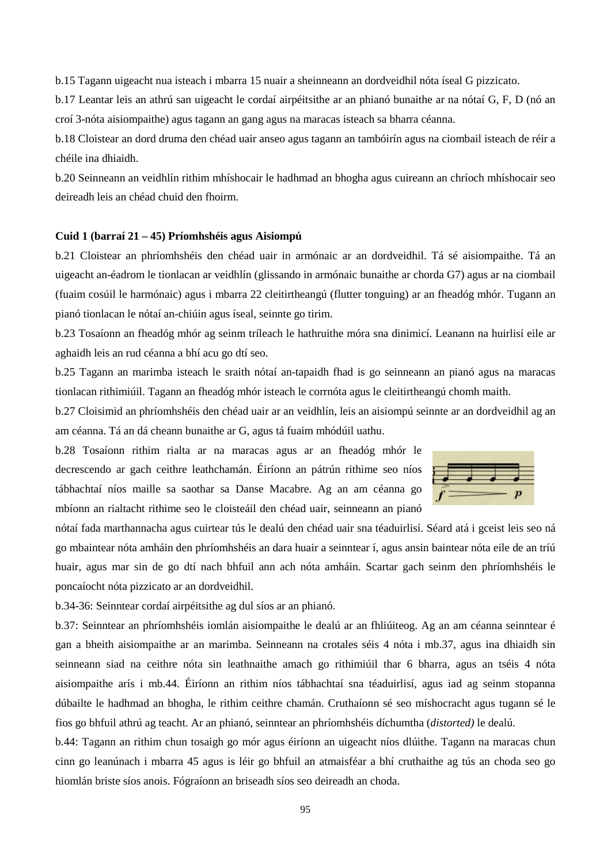b.15 Tagann uigeacht nua isteach i mbarra 15 nuair a sheinneann an dordveidhil nóta íseal G pizzicato.

b.17 Leantar leis an athrú san uigeacht le cordaí airpéitsithe ar an phianó bunaithe ar na nótaí G, F, D (nó an croí 3-nóta aisiompaithe) agus tagann an gang agus na maracas isteach sa bharra céanna.

b.18 Cloistear an dord druma den chéad uair anseo agus tagann an tambóirín agus na ciombail isteach de réir a chéile ina dhiaidh.

b.20 Seinneann an veidhlín rithim mhíshocair le hadhmad an bhogha agus cuireann an chríoch mhíshocair seo deireadh leis an chéad chuid den fhoirm.

#### **Cuid 1 (barraí 21 – 45) Príomhshéis agus Aisiompú**

b.21 Cloistear an phríomhshéis den chéad uair in armónaic ar an dordveidhil. Tá sé aisiompaithe. Tá an uigeacht an-éadrom le tionlacan ar veidhlín (glissando in armónaic bunaithe ar chorda G7) agus ar na ciombail (fuaim cosúil le harmónaic) agus i mbarra 22 cleitirtheangú (flutter tonguing) ar an fheadóg mhór. Tugann an pianó tionlacan le nótaí an-chiúin agus íseal, seinnte go tirim.

b.23 Tosaíonn an fheadóg mhór ag seinm tríleach le hathruithe móra sna dinimicí. Leanann na huirlisí eile ar aghaidh leis an rud céanna a bhí acu go dtí seo.

b.25 Tagann an marimba isteach le sraith nótaí an-tapaidh fhad is go seinneann an pianó agus na maracas tionlacan rithimiúil. Tagann an fheadóg mhór isteach le corrnóta agus le cleitirtheangú chomh maith.

b.27 Cloisimid an phríomhshéis den chéad uair ar an veidhlín, leis an aisiompú seinnte ar an dordveidhil ag an am céanna. Tá an dá cheann bunaithe ar G, agus tá fuaim mhódúil uathu.

b.28 Tosaíonn rithim rialta ar na maracas agus ar an fheadóg mhór le decrescendo ar gach ceithre leathchamán. Éiríonn an pátrún rithime seo níos tábhachtaí níos maille sa saothar sa Danse Macabre. Ag an am céanna go mbíonn an rialtacht rithime seo le cloisteáil den chéad uair, seinneann an pianó

nótaí fada marthannacha agus cuirtear tús le dealú den chéad uair sna téaduirlisí. Séard atá i gceist leis seo ná go mbaintear nóta amháin den phríomhshéis an dara huair a seinntear í, agus ansin baintear nóta eile de an tríú huair, agus mar sin de go dtí nach bhfuil ann ach nóta amháin. Scartar gach seinm den phríomhshéis le poncaíocht nóta pizzicato ar an dordveidhil.

b.34-36: Seinntear cordaí airpéitsithe ag dul síos ar an phianó.

b.37: Seinntear an phríomhshéis iomlán aisiompaithe le dealú ar an fhliúiteog. Ag an am céanna seinntear é gan a bheith aisiompaithe ar an marimba. Seinneann na crotales séis 4 nóta i mb.37, agus ina dhiaidh sin seinneann siad na ceithre nóta sin leathnaithe amach go rithimiúil thar 6 bharra, agus an tséis 4 nóta aisiompaithe arís i mb.44. Éiríonn an rithim níos tábhachtaí sna téaduirlisí, agus iad ag seinm stopanna dúbailte le hadhmad an bhogha, le rithim ceithre chamán. Cruthaíonn sé seo míshocracht agus tugann sé le fios go bhfuil athrú ag teacht. Ar an phianó, seinntear an phríomhshéis díchumtha (*distorted)* le dealú.

b.44: Tagann an rithim chun tosaigh go mór agus éiríonn an uigeacht níos dlúithe. Tagann na maracas chun cinn go leanúnach i mbarra 45 agus is léir go bhfuil an atmaisféar a bhí cruthaithe ag tús an choda seo go hiomlán briste síos anois. Fógraíonn an briseadh síos seo deireadh an choda.

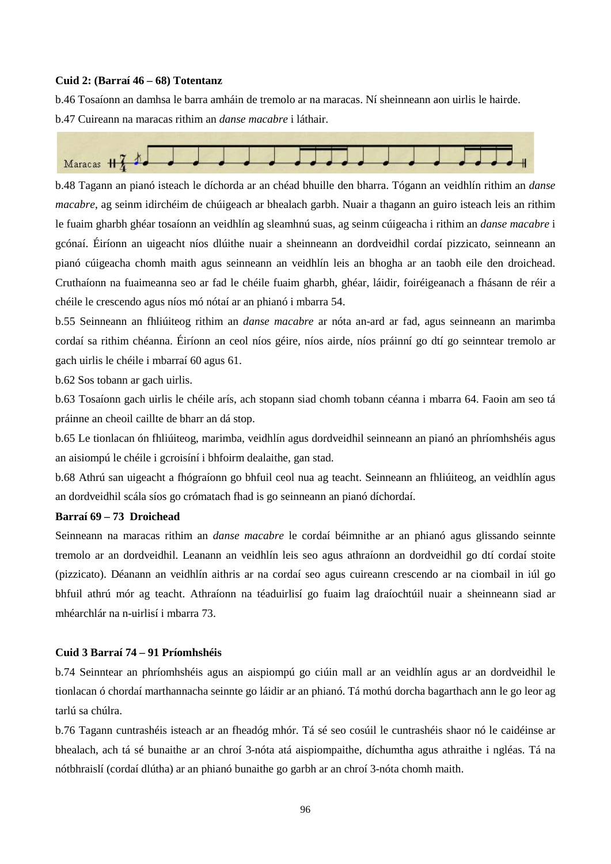#### **Cuid 2: (Barraí 46 – 68) Totentanz**

b.46 Tosaíonn an damhsa le barra amháin de tremolo ar na maracas. Ní sheinneann aon uirlis le hairde. b.47 Cuireann na maracas rithim an *danse macabre* i láthair.



b.48 Tagann an pianó isteach le díchorda ar an chéad bhuille den bharra. Tógann an veidhlín rithim an *danse macabre*, ag seinm idirchéim de chúigeach ar bhealach garbh. Nuair a thagann an guiro isteach leis an rithim le fuaim gharbh ghéar tosaíonn an veidhlín ag sleamhnú suas, ag seinm cúigeacha i rithim an *danse macabre* i gcónaí. Éiríonn an uigeacht níos dlúithe nuair a sheinneann an dordveidhil cordaí pizzicato, seinneann an pianó cúigeacha chomh maith agus seinneann an veidhlín leis an bhogha ar an taobh eile den droichead. Cruthaíonn na fuaimeanna seo ar fad le chéile fuaim gharbh, ghéar, láidir, foiréigeanach a fhásann de réir a chéile le crescendo agus níos mó nótaí ar an phianó i mbarra 54.

b.55 Seinneann an fhliúiteog rithim an *danse macabre* ar nóta an-ard ar fad, agus seinneann an marimba cordaí sa rithim chéanna. Éiríonn an ceol níos géire, níos airde, níos práinní go dtí go seinntear tremolo ar gach uirlis le chéile i mbarraí 60 agus 61.

b.62 Sos tobann ar gach uirlis.

b.63 Tosaíonn gach uirlis le chéile arís, ach stopann siad chomh tobann céanna i mbarra 64. Faoin am seo tá práinne an cheoil caillte de bharr an dá stop.

b.65 Le tionlacan ón fhliúiteog, marimba, veidhlín agus dordveidhil seinneann an pianó an phríomhshéis agus an aisiompú le chéile i gcroisíní i bhfoirm dealaithe, gan stad.

b.68 Athrú san uigeacht a fhógraíonn go bhfuil ceol nua ag teacht. Seinneann an fhliúiteog, an veidhlín agus an dordveidhil scála síos go crómatach fhad is go seinneann an pianó díchordaí.

#### **Barraí 69 – 73 Droichead**

Seinneann na maracas rithim an *danse macabre* le cordaí béimnithe ar an phianó agus glissando seinnte tremolo ar an dordveidhil. Leanann an veidhlín leis seo agus athraíonn an dordveidhil go dtí cordaí stoite (pizzicato). Déanann an veidhlín aithris ar na cordaí seo agus cuireann crescendo ar na ciombail in iúl go bhfuil athrú mór ag teacht. Athraíonn na téaduirlisí go fuaim lag draíochtúil nuair a sheinneann siad ar mhéarchlár na n-uirlisí i mbarra 73.

## **Cuid 3 Barraí 74 – 91 Príomhshéis**

b.74 Seinntear an phríomhshéis agus an aispiompú go ciúin mall ar an veidhlín agus ar an dordveidhil le tionlacan ó chordaí marthannacha seinnte go láidir ar an phianó. Tá mothú dorcha bagarthach ann le go leor ag tarlú sa chúlra.

b.76 Tagann cuntrashéis isteach ar an fheadóg mhór. Tá sé seo cosúil le cuntrashéis shaor nó le caidéinse ar bhealach, ach tá sé bunaithe ar an chroí 3-nóta atá aispiompaithe, díchumtha agus athraithe i ngléas. Tá na nótbhraislí (cordaí dlútha) ar an phianó bunaithe go garbh ar an chroí 3-nóta chomh maith.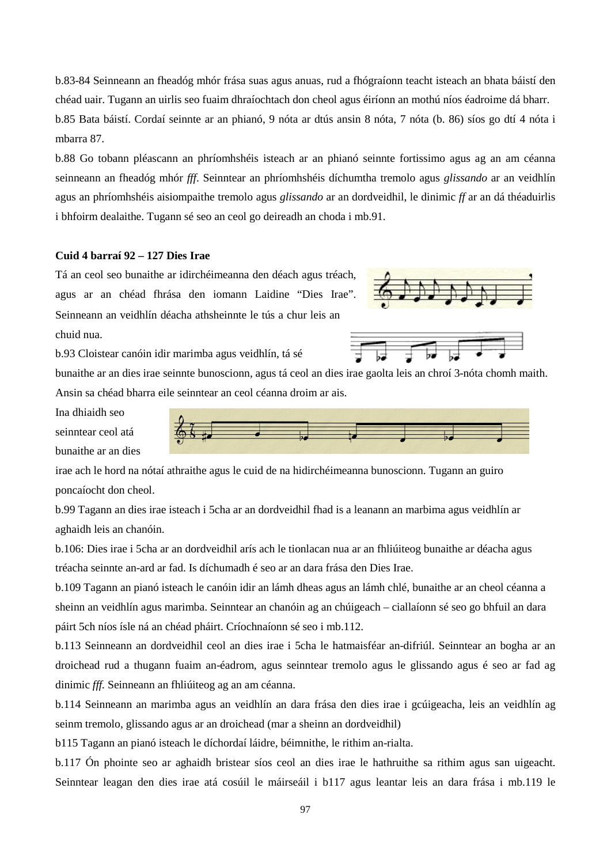b.83-84 Seinneann an fheadóg mhór frása suas agus anuas, rud a fhógraíonn teacht isteach an bhata báistí den chéad uair. Tugann an uirlis seo fuaim dhraíochtach don cheol agus éiríonn an mothú níos éadroime dá bharr. b.85 Bata báistí. Cordaí seinnte ar an phianó, 9 nóta ar dtús ansin 8 nóta, 7 nóta (b. 86) síos go dtí 4 nóta i mbarra 87.

b.88 Go tobann pléascann an phríomhshéis isteach ar an phianó seinnte fortissimo agus ag an am céanna seinneann an fheadóg mhór *fff*. Seinntear an phríomhshéis díchumtha tremolo agus *glissando* ar an veidhlín agus an phríomhshéis aisiompaithe tremolo agus *glissando* ar an dordveidhil, le dinimic *ff* ar an dá théaduirlis i bhfoirm dealaithe. Tugann sé seo an ceol go deireadh an choda i mb.91.

## **Cuid 4 barraí 92 – 127 Dies Irae**

Tá an ceol seo bunaithe ar idirchéimeanna den déach agus tréach, agus ar an chéad fhrása den iomann Laidine "Dies Irae". Seinneann an veidhlín déacha athsheinnte le tús a chur leis an chuid nua.

b.93 Cloistear canóin idir marimba agus veidhlín, tá sé

bunaithe ar an dies irae seinnte bunoscionn, agus tá ceol an dies irae gaolta leis an chroí 3-nóta chomh maith. Ansin sa chéad bharra eile seinntear an ceol céanna droim ar ais.

Ina dhiaidh seo seinntear ceol atá bunaithe ar an dies



irae ach le hord na nótaí athraithe agus le cuid de na hidirchéimeanna bunoscionn. Tugann an guiro poncaíocht don cheol.

b.99 Tagann an dies irae isteach i 5cha ar an dordveidhil fhad is a leanann an marbima agus veidhlín ar aghaidh leis an chanóin.

b.106: Dies irae i 5cha ar an dordveidhil arís ach le tionlacan nua ar an fhliúiteog bunaithe ar déacha agus tréacha seinnte an-ard ar fad. Is díchumadh é seo ar an dara frása den Dies Irae.

b.109 Tagann an pianó isteach le canóin idir an lámh dheas agus an lámh chlé, bunaithe ar an cheol céanna a sheinn an veidhlín agus marimba. Seinntear an chanóin ag an chúigeach – ciallaíonn sé seo go bhfuil an dara páirt 5ch níos ísle ná an chéad pháirt. Críochnaíonn sé seo i mb.112.

b.113 Seinneann an dordveidhil ceol an dies irae i 5cha le hatmaisféar an-difriúl. Seinntear an bogha ar an droichead rud a thugann fuaim an-éadrom, agus seinntear tremolo agus le glissando agus é seo ar fad ag dinimic *fff.* Seinneann an fhliúiteog ag an am céanna.

b.114 Seinneann an marimba agus an veidhlín an dara frása den dies irae i gcúigeacha, leis an veidhlín ag seinm tremolo, glissando agus ar an droichead (mar a sheinn an dordveidhil)

b115 Tagann an pianó isteach le díchordaí láidre, béimnithe, le rithim an-rialta.

b.117 Ón phointe seo ar aghaidh bristear síos ceol an dies irae le hathruithe sa rithim agus san uigeacht. Seinntear leagan den dies irae atá cosúil le máirseáil i b117 agus leantar leis an dara frása i mb.119 le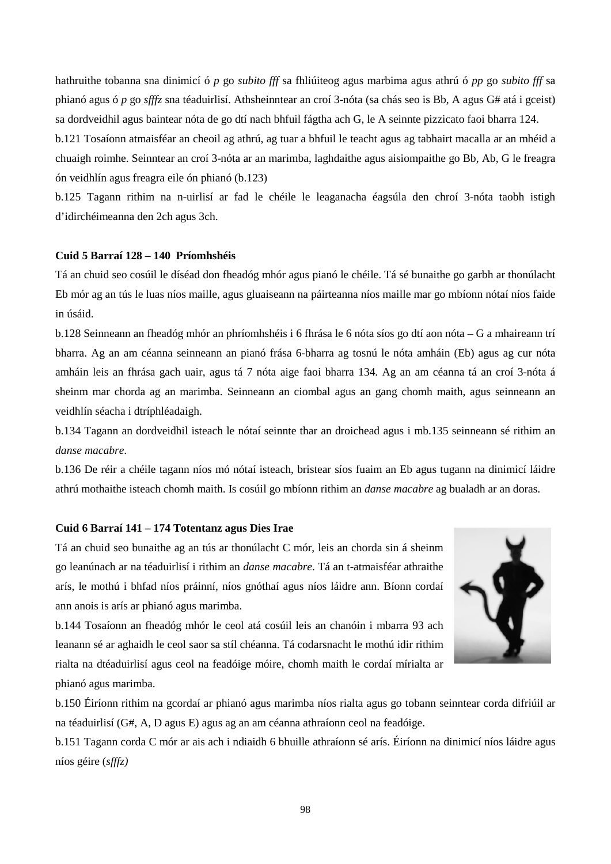hathruithe tobanna sna dinimicí ó *p* go *subito fff* sa fhliúiteog agus marbima agus athrú ó *pp* go *subito fff* sa phianó agus ó *p* go *sfffz* sna téaduirlisí. Athsheinntear an croí 3-nóta (sa chás seo is Bb, A agus G# atá i gceist) sa dordveidhil agus baintear nóta de go dtí nach bhfuil fágtha ach G, le A seinnte pizzicato faoi bharra 124.

b.121 Tosaíonn atmaisféar an cheoil ag athrú, ag tuar a bhfuil le teacht agus ag tabhairt macalla ar an mhéid a chuaigh roimhe. Seinntear an croí 3-nóta ar an marimba, laghdaithe agus aisiompaithe go Bb, Ab, G le freagra ón veidhlín agus freagra eile ón phianó (b.123)

b.125 Tagann rithim na n-uirlisí ar fad le chéile le leaganacha éagsúla den chroí 3-nóta taobh istigh d'idirchéimeanna den 2ch agus 3ch.

## **Cuid 5 Barraí 128 – 140 Príomhshéis**

Tá an chuid seo cosúil le díséad don fheadóg mhór agus pianó le chéile. Tá sé bunaithe go garbh ar thonúlacht Eb mór ag an tús le luas níos maille, agus gluaiseann na páirteanna níos maille mar go mbíonn nótaí níos faide in úsáid.

b.128 Seinneann an fheadóg mhór an phríomhshéis i 6 fhrása le 6 nóta síos go dtí aon nóta – G a mhaireann trí bharra. Ag an am céanna seinneann an pianó frása 6-bharra ag tosnú le nóta amháin (Eb) agus ag cur nóta amháin leis an fhrása gach uair, agus tá 7 nóta aige faoi bharra 134. Ag an am céanna tá an croí 3-nóta á sheinm mar chorda ag an marimba. Seinneann an ciombal agus an gang chomh maith, agus seinneann an veidhlín séacha i dtríphléadaigh.

b.134 Tagann an dordveidhil isteach le nótaí seinnte thar an droichead agus i mb.135 seinneann sé rithim an *danse macabre*.

b.136 De réir a chéile tagann níos mó nótaí isteach, bristear síos fuaim an Eb agus tugann na dinimicí láidre athrú mothaithe isteach chomh maith. Is cosúil go mbíonn rithim an *danse macabre* ag bualadh ar an doras.

#### **Cuid 6 Barraí 141 – 174 Totentanz agus Dies Irae**

Tá an chuid seo bunaithe ag an tús ar thonúlacht C mór, leis an chorda sin á sheinm go leanúnach ar na téaduirlisí i rithim an *danse macabre*. Tá an t-atmaisféar athraithe arís, le mothú i bhfad níos práinní, níos gnóthaí agus níos láidre ann. Bíonn cordaí ann anois is arís ar phianó agus marimba.

b.144 Tosaíonn an fheadóg mhór le ceol atá cosúil leis an chanóin i mbarra 93 ach leanann sé ar aghaidh le ceol saor sa stíl chéanna. Tá codarsnacht le mothú idir rithim rialta na dtéaduirlisí agus ceol na feadóige móire, chomh maith le cordaí mírialta ar phianó agus marimba.



b.150 Éiríonn rithim na gcordaí ar phianó agus marimba níos rialta agus go tobann seinntear corda difriúil ar na téaduirlisí (G#, A, D agus E) agus ag an am céanna athraíonn ceol na feadóige.

b.151 Tagann corda C mór ar ais ach i ndiaidh 6 bhuille athraíonn sé arís. Éiríonn na dinimicí níos láidre agus níos géire (*sfffz)*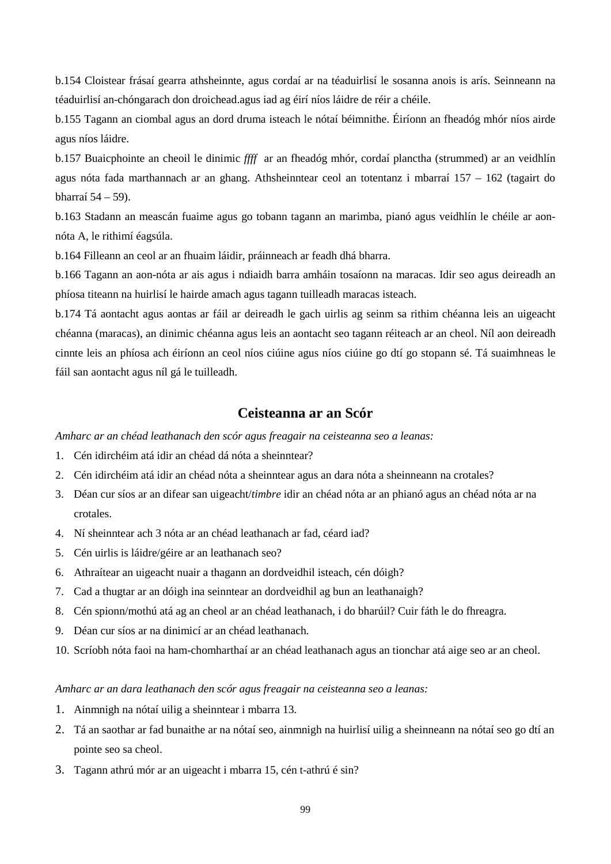b.154 Cloistear frásaí gearra athsheinnte, agus cordaí ar na téaduirlisí le sosanna anois is arís. Seinneann na téaduirlisí an-chóngarach don droichead.agus iad ag éirí níos láidre de réir a chéile.

b.155 Tagann an ciombal agus an dord druma isteach le nótaí béimnithe. Éiríonn an fheadóg mhór níos airde agus níos láidre.

b.157 Buaicphointe an cheoil le dinimic *ffff* ar an fheadóg mhór, cordaí planctha (strummed) ar an veidhlín agus nóta fada marthannach ar an ghang. Athsheinntear ceol an totentanz i mbarraí 157 – 162 (tagairt do bharraí 54 – 59).

b.163 Stadann an meascán fuaime agus go tobann tagann an marimba, pianó agus veidhlín le chéile ar aonnóta A, le rithimí éagsúla.

b.164 Filleann an ceol ar an fhuaim láidir, práinneach ar feadh dhá bharra.

b.166 Tagann an aon-nóta ar ais agus i ndiaidh barra amháin tosaíonn na maracas. Idir seo agus deireadh an phíosa titeann na huirlisí le hairde amach agus tagann tuilleadh maracas isteach.

b.174 Tá aontacht agus aontas ar fáil ar deireadh le gach uirlis ag seinm sa rithim chéanna leis an uigeacht chéanna (maracas), an dinimic chéanna agus leis an aontacht seo tagann réiteach ar an cheol. Níl aon deireadh cinnte leis an phíosa ach éiríonn an ceol níos ciúine agus níos ciúine go dtí go stopann sé. Tá suaimhneas le fáil san aontacht agus níl gá le tuilleadh.

# **Ceisteanna ar an Scór**

*Amharc ar an chéad leathanach den scór agus freagair na ceisteanna seo a leanas:*

- 1. Cén idirchéim atá idir an chéad dá nóta a sheinntear?
- 2. Cén idirchéim atá idir an chéad nóta a sheinntear agus an dara nóta a sheinneann na crotales?
- 3. Déan cur síos ar an difear san uigeacht/*timbre* idir an chéad nóta ar an phianó agus an chéad nóta ar na crotales.
- 4. Ní sheinntear ach 3 nóta ar an chéad leathanach ar fad, céard iad?
- 5. Cén uirlis is láidre/géire ar an leathanach seo?
- 6. Athraítear an uigeacht nuair a thagann an dordveidhil isteach, cén dóigh?
- 7. Cad a thugtar ar an dóigh ina seinntear an dordveidhil ag bun an leathanaigh?
- 8. Cén spionn/mothú atá ag an cheol ar an chéad leathanach, i do bharúil? Cuir fáth le do fhreagra.
- 9. Déan cur síos ar na dinimicí ar an chéad leathanach.
- 10. Scríobh nóta faoi na ham-chomharthaí ar an chéad leathanach agus an tionchar atá aige seo ar an cheol.

#### *Amharc ar an dara leathanach den scór agus freagair na ceisteanna seo a leanas:*

- 1. Ainmnigh na nótaí uilig a sheinntear i mbarra 13.
- 2. Tá an saothar ar fad bunaithe ar na nótaí seo, ainmnigh na huirlisí uilig a sheinneann na nótaí seo go dtí an pointe seo sa cheol.
- 3. Tagann athrú mór ar an uigeacht i mbarra 15, cén t-athrú é sin?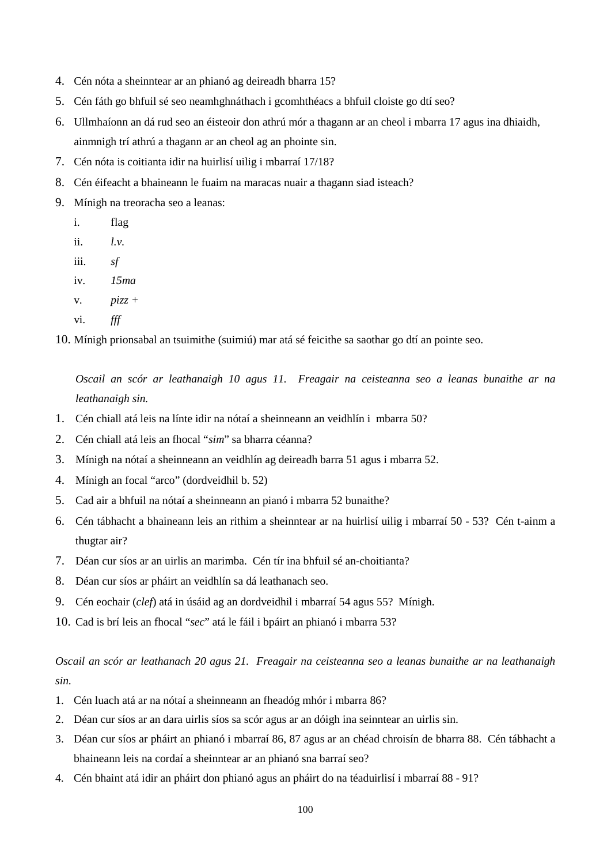- 4. Cén nóta a sheinntear ar an phianó ag deireadh bharra 15?
- 5. Cén fáth go bhfuil sé seo neamhghnáthach i gcomhthéacs a bhfuil cloiste go dtí seo?
- 6. Ullmhaíonn an dá rud seo an éisteoir don athrú mór a thagann ar an cheol i mbarra 17 agus ina dhiaidh, ainmnigh trí athrú a thagann ar an cheol ag an phointe sin.
- 7. Cén nóta is coitianta idir na huirlisí uilig i mbarraí 17/18?
- 8. Cén éifeacht a bhaineann le fuaim na maracas nuair a thagann siad isteach?
- 9. Mínigh na treoracha seo a leanas:
	- i. flag
	- ii. *l.v.*
	- iii. *sf*
	- iv. *15ma*
	- v. *pizz +*
	- vi. *fff*

10. Mínigh prionsabal an tsuimithe (suimiú) mar atá sé feicithe sa saothar go dtí an pointe seo.

*Oscail an scór ar leathanaigh 10 agus 11. Freagair na ceisteanna seo a leanas bunaithe ar na leathanaigh sin.*

- 1. Cén chiall atá leis na línte idir na nótaí a sheinneann an veidhlín i mbarra 50?
- 2. Cén chiall atá leis an fhocal "*sim*" sa bharra céanna?
- 3. Mínigh na nótaí a sheinneann an veidhlín ag deireadh barra 51 agus i mbarra 52.
- 4. Mínigh an focal "arco" (dordveidhil b. 52)
- 5. Cad air a bhfuil na nótaí a sheinneann an pianó i mbarra 52 bunaithe?
- 6. Cén tábhacht a bhaineann leis an rithim a sheinntear ar na huirlisí uilig i mbarraí 50 53? Cén t-ainm a thugtar air?
- 7. Déan cur síos ar an uirlis an marimba. Cén tír ina bhfuil sé an-choitianta?
- 8. Déan cur síos ar pháirt an veidhlín sa dá leathanach seo.
- 9. Cén eochair (*clef*) atá in úsáid ag an dordveidhil i mbarraí 54 agus 55? Mínigh.
- 10. Cad is brí leis an fhocal "*sec*" atá le fáil i bpáirt an phianó i mbarra 53?

*Oscail an scór ar leathanach 20 agus 21. Freagair na ceisteanna seo a leanas bunaithe ar na leathanaigh sin.*

- 1. Cén luach atá ar na nótaí a sheinneann an fheadóg mhór i mbarra 86?
- 2. Déan cur síos ar an dara uirlis síos sa scór agus ar an dóigh ina seinntear an uirlis sin.
- 3. Déan cur síos ar pháirt an phianó i mbarraí 86, 87 agus ar an chéad chroisín de bharra 88. Cén tábhacht a bhaineann leis na cordaí a sheinntear ar an phianó sna barraí seo?
- 4. Cén bhaint atá idir an pháirt don phianó agus an pháirt do na téaduirlisí i mbarraí 88 91?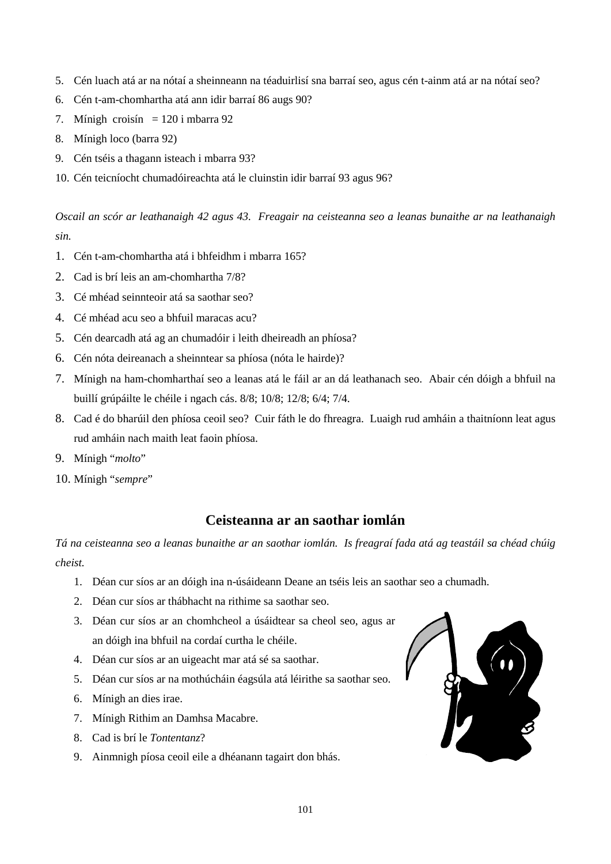- 5. Cén luach atá ar na nótaí a sheinneann na téaduirlisí sna barraí seo, agus cén t-ainm atá ar na nótaí seo?
- 6. Cén t-am-chomhartha atá ann idir barraí 86 augs 90?
- 7. Mínigh croisín =  $120$  i mbarra 92
- 8. Mínigh loco (barra 92)
- 9. Cén tséis a thagann isteach i mbarra 93?
- 10. Cén teicníocht chumadóireachta atá le cluinstin idir barraí 93 agus 96?

*Oscail an scór ar leathanaigh 42 agus 43. Freagair na ceisteanna seo a leanas bunaithe ar na leathanaigh sin.*

- 1. Cén t-am-chomhartha atá i bhfeidhm i mbarra 165?
- 2. Cad is brí leis an am-chomhartha 7/8?
- 3. Cé mhéad seinnteoir atá sa saothar seo?
- 4. Cé mhéad acu seo a bhfuil maracas acu?
- 5. Cén dearcadh atá ag an chumadóir i leith dheireadh an phíosa?
- 6. Cén nóta deireanach a sheinntear sa phíosa (nóta le hairde)?
- 7. Mínigh na ham-chomharthaí seo a leanas atá le fáil ar an dá leathanach seo. Abair cén dóigh a bhfuil na buillí grúpáilte le chéile i ngach cás. 8/8; 10/8; 12/8; 6/4; 7/4.
- 8. Cad é do bharúil den phíosa ceoil seo? Cuir fáth le do fhreagra. Luaigh rud amháin a thaitníonn leat agus rud amháin nach maith leat faoin phíosa.
- 9. Mínigh "*molto*"
- 10. Mínigh "*sempre*"

# **Ceisteanna ar an saothar iomlán**

*Tá na ceisteanna seo a leanas bunaithe ar an saothar iomlán. Is freagraí fada atá ag teastáil sa chéad chúig cheist.*

- 1. Déan cur síos ar an dóigh ina n-úsáideann Deane an tséis leis an saothar seo a chumadh.
- 2. Déan cur síos ar thábhacht na rithime sa saothar seo.
- 3. Déan cur síos ar an chomhcheol a úsáidtear sa cheol seo, agus ar an dóigh ina bhfuil na cordaí curtha le chéile.
- 4. Déan cur síos ar an uigeacht mar atá sé sa saothar.
- 5. Déan cur síos ar na mothúcháin éagsúla atá léirithe sa saothar seo.
- 6. Mínigh an dies irae.
- 7. Mínigh Rithim an Damhsa Macabre.
- 8. Cad is brí le *Tontentanz*?
- 9. Ainmnigh píosa ceoil eile a dhéanann tagairt don bhás.

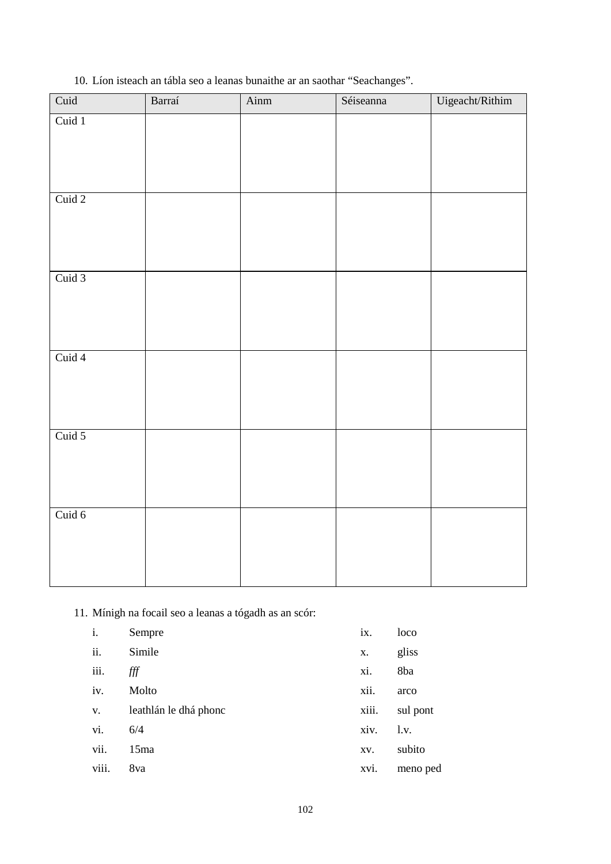10. Líon isteach an tábla seo a leanas bunaithe ar an saothar "Seachanges".

| Cuid 1 |  |
|--------|--|
|        |  |
|        |  |
|        |  |
|        |  |
| Cuid 2 |  |
|        |  |
|        |  |
|        |  |
| Cuid 3 |  |
|        |  |
|        |  |
|        |  |
| Cuid 4 |  |
|        |  |
|        |  |
| Cuid 5 |  |
|        |  |
|        |  |
|        |  |
| Cuid 6 |  |
|        |  |
|        |  |
|        |  |

11. Mínigh na focail seo a leanas a tógadh as an scór:

| i.    | Sempre                | ix.   | loco     |
|-------|-----------------------|-------|----------|
| ii.   | Simile                | Х.    | gliss    |
| iii.  | fff                   | xi.   | 8ba      |
| iv.   | Molto                 | xii.  | arco     |
| V.    | leathlán le dhá phonc | xiii. | sul pont |
| vi.   | 6/4                   | xiv.  | $1_v$ .  |
| vii.  | 15ma                  | XV.   | subito   |
| viii. | 8va                   | xvi.  | meno ped |
|       |                       |       |          |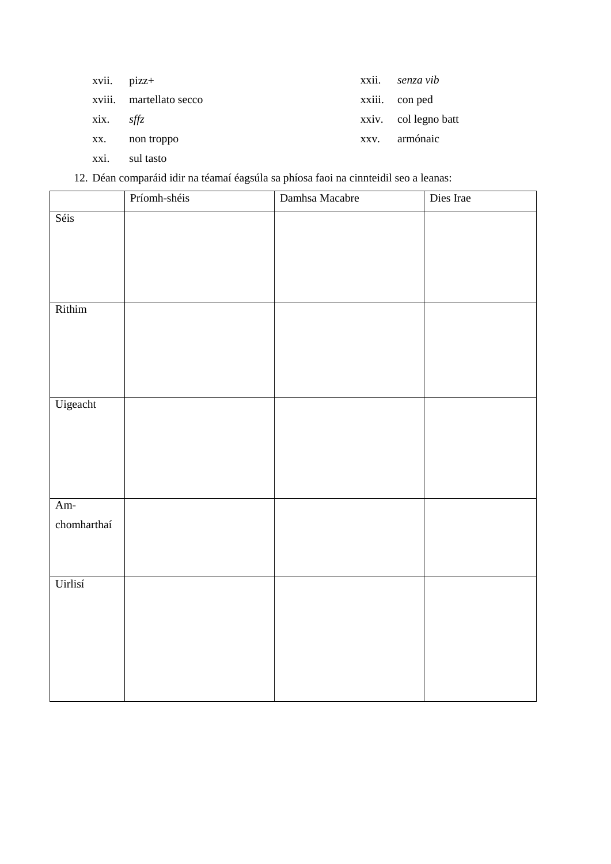| xvii. pizz+   |                         |      | xxii. senza vib      |
|---------------|-------------------------|------|----------------------|
|               | xviii. martellato secco |      | xxiii. con ped       |
| $xix.$ $sffz$ |                         |      | xxiv. col legno batt |
| XX.           | non troppo              | XXV. | armónaic             |
| xxi.          | sul tasto               |      |                      |

12. Déan comparáid idir na téamaí éagsúla sa phíosa faoi na cinnteidil seo a leanas:

|             | Príomh-shéis | Damhsa Macabre | Dies Irae |
|-------------|--------------|----------------|-----------|
| Séis        |              |                |           |
|             |              |                |           |
|             |              |                |           |
|             |              |                |           |
|             |              |                |           |
| Rithim      |              |                |           |
|             |              |                |           |
|             |              |                |           |
|             |              |                |           |
| Uigeacht    |              |                |           |
|             |              |                |           |
|             |              |                |           |
|             |              |                |           |
|             |              |                |           |
|             |              |                |           |
| Am-         |              |                |           |
| chomharthaí |              |                |           |
|             |              |                |           |
|             |              |                |           |
| Uirlisí     |              |                |           |
|             |              |                |           |
|             |              |                |           |
|             |              |                |           |
|             |              |                |           |
|             |              |                |           |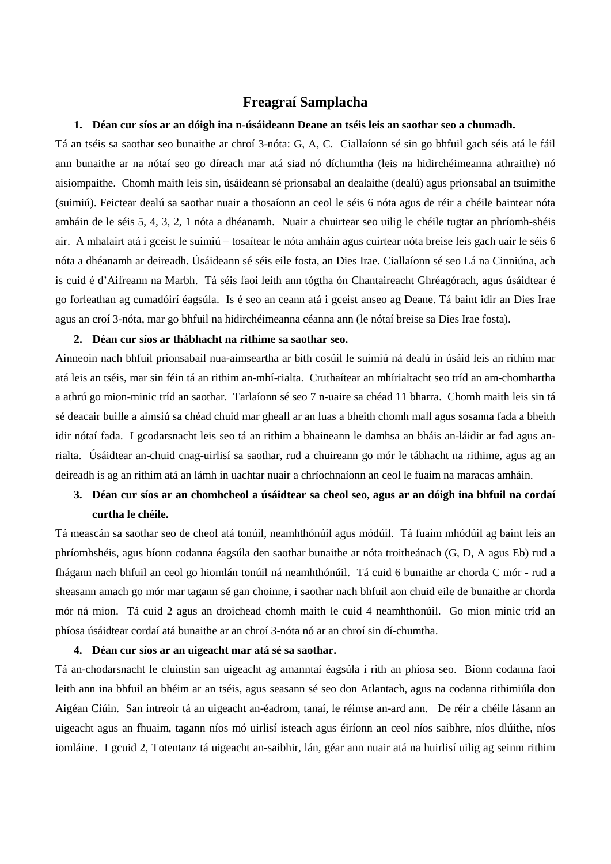# **Freagraí Samplacha**

#### **1. Déan cur síos ar an dóigh ina n-úsáideann Deane an tséis leis an saothar seo a chumadh.**

Tá an tséis sa saothar seo bunaithe ar chroí 3-nóta: G, A, C. Ciallaíonn sé sin go bhfuil gach séis atá le fáil ann bunaithe ar na nótaí seo go díreach mar atá siad nó díchumtha (leis na hidirchéimeanna athraithe) nó aisiompaithe. Chomh maith leis sin, úsáideann sé prionsabal an dealaithe (dealú) agus prionsabal an tsuimithe (suimiú). Feictear dealú sa saothar nuair a thosaíonn an ceol le séis 6 nóta agus de réir a chéile baintear nóta amháin de le séis 5, 4, 3, 2, 1 nóta a dhéanamh. Nuair a chuirtear seo uilig le chéile tugtar an phríomh-shéis air. A mhalairt atá i gceist le suimiú – tosaítear le nóta amháin agus cuirtear nóta breise leis gach uair le séis 6 nóta a dhéanamh ar deireadh. Úsáideann sé séis eile fosta, an Dies Irae. Ciallaíonn sé seo Lá na Cinniúna, ach is cuid é d'Aifreann na Marbh. Tá séis faoi leith ann tógtha ón Chantaireacht Ghréagórach, agus úsáidtear é go forleathan ag cumadóirí éagsúla. Is é seo an ceann atá i gceist anseo ag Deane. Tá baint idir an Dies Irae agus an croí 3-nóta, mar go bhfuil na hidirchéimeanna céanna ann (le nótaí breise sa Dies Irae fosta).

#### **2. Déan cur síos ar thábhacht na rithime sa saothar seo.**

Ainneoin nach bhfuil prionsabail nua-aimseartha ar bith cosúil le suimiú ná dealú in úsáid leis an rithim mar atá leis an tséis, mar sin féin tá an rithim an-mhí-rialta. Cruthaítear an mhírialtacht seo tríd an am-chomhartha a athrú go mion-minic tríd an saothar. Tarlaíonn sé seo 7 n-uaire sa chéad 11 bharra. Chomh maith leis sin tá sé deacair buille a aimsiú sa chéad chuid mar gheall ar an luas a bheith chomh mall agus sosanna fada a bheith idir nótaí fada. I gcodarsnacht leis seo tá an rithim a bhaineann le damhsa an bháis an-láidir ar fad agus anrialta. Úsáidtear an-chuid cnag-uirlisí sa saothar, rud a chuireann go mór le tábhacht na rithime, agus ag an deireadh is ag an rithim atá an lámh in uachtar nuair a chríochnaíonn an ceol le fuaim na maracas amháin.

# **3. Déan cur síos ar an chomhcheol a úsáidtear sa cheol seo, agus ar an dóigh ina bhfuil na cordaí curtha le chéile.**

Tá meascán sa saothar seo de cheol atá tonúil, neamhthónúil agus módúil. Tá fuaim mhódúil ag baint leis an phríomhshéis, agus bíonn codanna éagsúla den saothar bunaithe ar nóta troitheánach (G, D, A agus Eb) rud a fhágann nach bhfuil an ceol go hiomlán tonúil ná neamhthónúil. Tá cuid 6 bunaithe ar chorda C mór - rud a sheasann amach go mór mar tagann sé gan choinne, i saothar nach bhfuil aon chuid eile de bunaithe ar chorda mór ná mion. Tá cuid 2 agus an droichead chomh maith le cuid 4 neamhthonúil. Go mion minic tríd an phíosa úsáidtear cordaí atá bunaithe ar an chroí 3-nóta nó ar an chroí sin dí-chumtha.

#### **4. Déan cur síos ar an uigeacht mar atá sé sa saothar.**

Tá an-chodarsnacht le cluinstin san uigeacht ag amanntaí éagsúla i rith an phíosa seo. Bíonn codanna faoi leith ann ina bhfuil an bhéim ar an tséis, agus seasann sé seo don Atlantach, agus na codanna rithimiúla don Aigéan Ciúin. San intreoir tá an uigeacht an-éadrom, tanaí, le réimse an-ard ann. De réir a chéile fásann an uigeacht agus an fhuaim, tagann níos mó uirlisí isteach agus éiríonn an ceol níos saibhre, níos dlúithe, níos iomláine. I gcuid 2, Totentanz tá uigeacht an-saibhir, lán, géar ann nuair atá na huirlisí uilig ag seinm rithim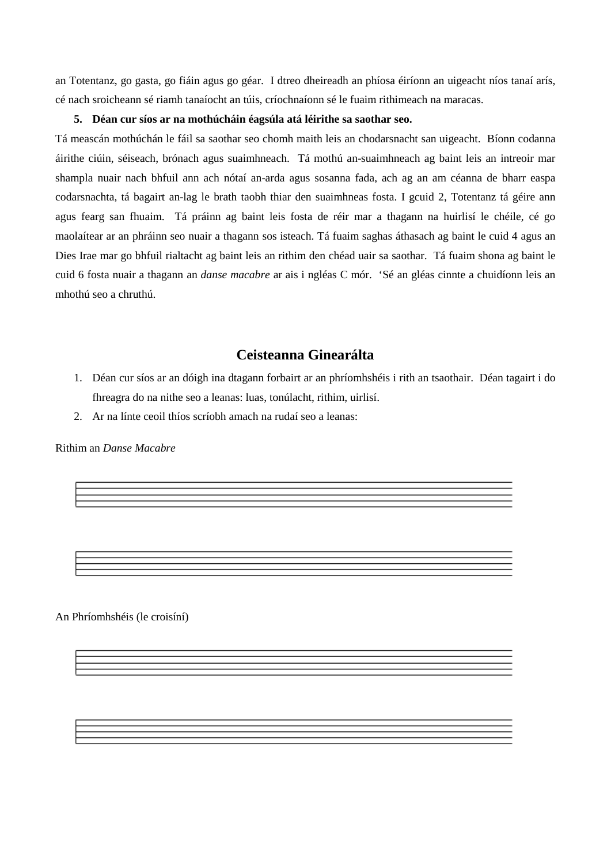an Totentanz, go gasta, go fiáin agus go géar. I dtreo dheireadh an phíosa éiríonn an uigeacht níos tanaí arís, cé nach sroicheann sé riamh tanaíocht an túis, críochnaíonn sé le fuaim rithimeach na maracas.

## **5. Déan cur síos ar na mothúcháin éagsúla atá léirithe sa saothar seo.**

Tá meascán mothúchán le fáil sa saothar seo chomh maith leis an chodarsnacht san uigeacht. Bíonn codanna áirithe ciúin, séiseach, brónach agus suaimhneach. Tá mothú an-suaimhneach ag baint leis an intreoir mar shampla nuair nach bhfuil ann ach nótaí an-arda agus sosanna fada, ach ag an am céanna de bharr easpa codarsnachta, tá bagairt an-lag le brath taobh thiar den suaimhneas fosta. I gcuid 2, Totentanz tá géire ann agus fearg san fhuaim. Tá práinn ag baint leis fosta de réir mar a thagann na huirlisí le chéile, cé go maolaítear ar an phráinn seo nuair a thagann sos isteach. Tá fuaim saghas áthasach ag baint le cuid 4 agus an Dies Irae mar go bhfuil rialtacht ag baint leis an rithim den chéad uair sa saothar. Tá fuaim shona ag baint le cuid 6 fosta nuair a thagann an *danse macabre* ar ais i ngléas C mór. 'Sé an gléas cinnte a chuidíonn leis an mhothú seo a chruthú.

# **Ceisteanna Ginearálta**

- 1. Déan cur síos ar an dóigh ina dtagann forbairt ar an phríomhshéis i rith an tsaothair. Déan tagairt i do fhreagra do na nithe seo a leanas: luas, tonúlacht, rithim, uirlisí.
- 2. Ar na línte ceoil thíos scríobh amach na rudaí seo a leanas:

Rithim an *Danse Macabre*

An Phríomhshéis (le croisíní)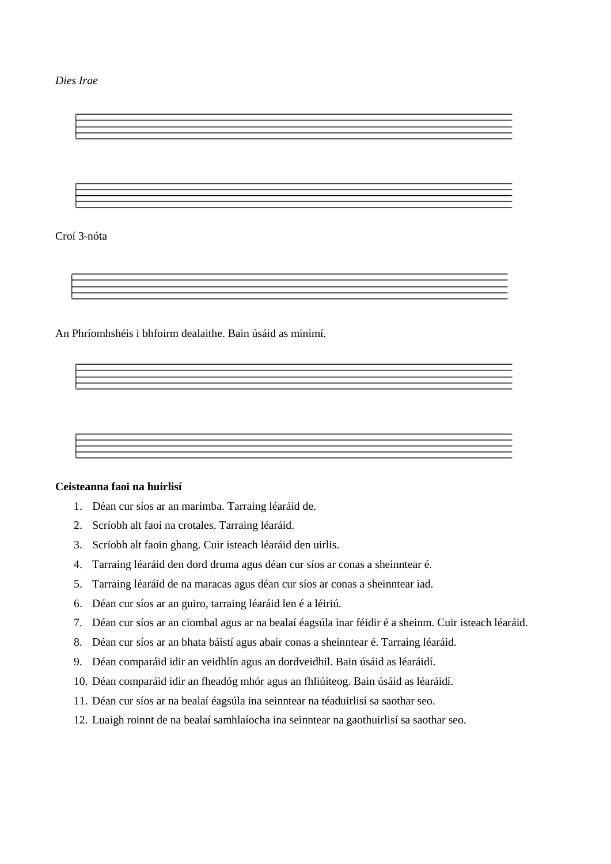*Dies Irae*

Croí 3-nóta

An Phríomhshéis i bhfoirm dealaithe. Bain úsáid as minimí.

## **Ceisteanna faoi na huirlisí**

- 1. Déan cur síos ar an marimba. Tarraing léaráid de.
- 2. Scríobh alt faoi na crotales. Tarraing léaráid.
- 3. Scríobh alt faoin ghang. Cuir isteach léaráid den uirlis.
- 4. Tarraing léaráid den dord druma agus déan cur síos ar conas a sheinntear é.
- 5. Tarraing léaráid de na maracas agus déan cur síos ar conas a sheinntear iad.
- 6. Déan cur síos ar an guiro, tarraing léaráid len é a léiriú.
- 7. Déan cur síos ar an ciombal agus ar na bealaí éagsúla inar féidir é a sheinm. Cuir isteach léaráid.
- 8. Déan cur síos ar an bhata báistí agus abair conas a sheinntear é. Tarraing léaráid.
- 9. Déan comparáid idir an veidhlín agus an dordveidhil. Bain úsáid as léaráidí.
- 10. Déan comparáid idir an fheadóg mhór agus an fhliúiteog. Bain úsáid as léaráidí.
- 11. Déan cur síos ar na bealaí éagsúla ina seinntear na téaduirlisí sa saothar seo.
- 12. Luaigh roinnt de na bealaí samhlaíocha ina seinntear na gaothuirlisí sa saothar seo.